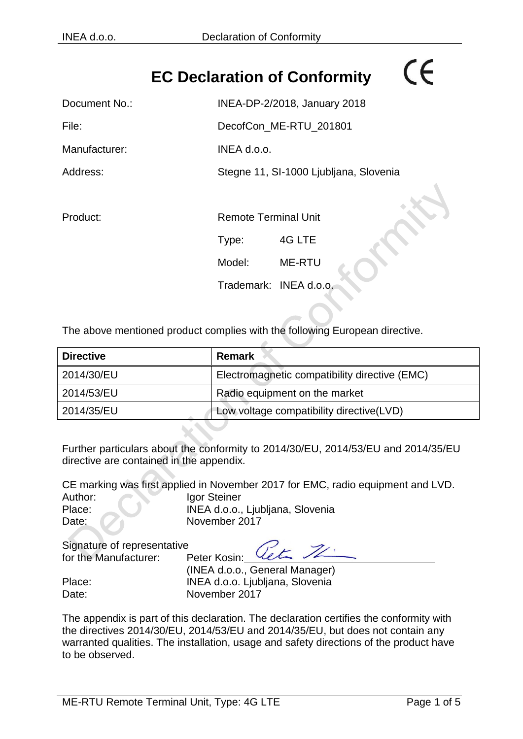## **EC Declaration of Conformity**

# Document No.: INEA-DP-2/2018, January 2018 File: DecofCon\_ME-RTU\_201801 Manufacturer: INEA d.o.o. Address: Stegne 11, SI-1000 Ljubljana, Slovenia Product: Remote Terminal Unit Type: 4G LTE Model: ME-RTU Trademark: INEA d.o.o.

The above mentioned product complies with the following European directive.

| <b>Directive</b> | <b>Remark</b>                                 |  |
|------------------|-----------------------------------------------|--|
| 2014/30/EU       | Electromagnetic compatibility directive (EMC) |  |
| 2014/53/EU       | Radio equipment on the market                 |  |
| 2014/35/EU       | Low voltage compatibility directive(LVD)      |  |

Further particulars about the conformity to 2014/30/EU, 2014/53/EU and 2014/35/EU directive are contained in the appendix.

CE marking was first applied in November 2017 for EMC, radio equipment and LVD. Author: Igor Steiner Place: INEA d.o.o., Ljubljana, Slovenia Date: November 2017

Signature of representative for the Manufacturer: Peter Kosin:

(INEA d.o.o., General Manager) Place: INEA d.o.o. Ljubljana, Slovenia Date: November 2017

The appendix is part of this declaration. The declaration certifies the conformity with the directives 2014/30/EU, 2014/53/EU and 2014/35/EU, but does not contain any warranted qualities. The installation, usage and safety directions of the product have to be observed.

 $\epsilon$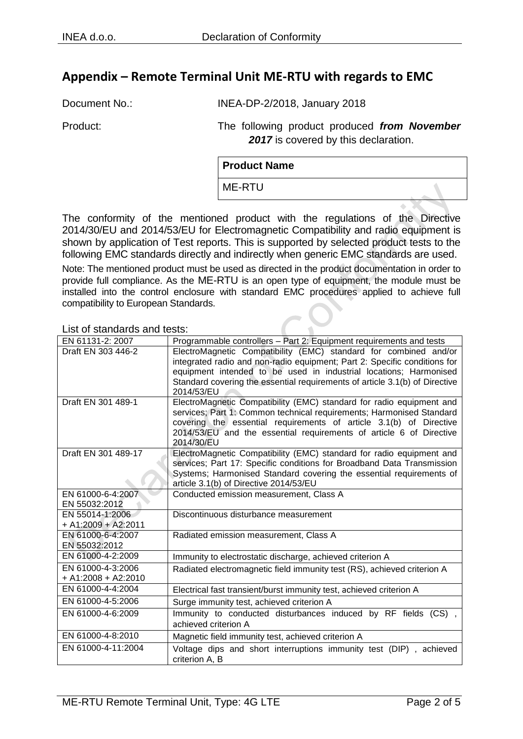#### **Appendix – Remote Terminal Unit ME-RTU with regards to EMC**

Document No.: INEA-DP-2/2018, January 2018

Product: The following product produced *from November*  2017 is covered by this declaration.

| <b>Product Name</b> |  |
|---------------------|--|
| ME-RTU              |  |
|                     |  |

The conformity of the mentioned product with the regulations of the Directive 2014/30/EU and 2014/53/EU for Electromagnetic Compatibility and radio equipment is shown by application of Test reports. This is supported by selected product tests to the following EMC standards directly and indirectly when generic EMC standards are used.

Note: The mentioned product must be used as directed in the product documentation in order to provide full compliance. As the ME-RTU is an open type of equipment, the module must be installed into the control enclosure with standard EMC procedures applied to achieve full compatibility to European Standards.

List of standards and tests:

| EN 61131-2: 2007                 | Programmable controllers - Part 2: Equipment requirements and tests                       |
|----------------------------------|-------------------------------------------------------------------------------------------|
| Draft EN 303 446-2               | ElectroMagnetic Compatibility (EMC) standard for combined and/or                          |
|                                  | integrated radio and non-radio equipment; Part 2: Specific conditions for                 |
|                                  | equipment intended to be used in industrial locations; Harmonised                         |
|                                  | Standard covering the essential requirements of article 3.1(b) of Directive<br>2014/53/EU |
| Draft EN 301 489-1               | ElectroMagnetic Compatibility (EMC) standard for radio equipment and                      |
|                                  | services; Part 1: Common technical requirements; Harmonised Standard                      |
|                                  | covering the essential requirements of article 3.1(b) of Directive                        |
|                                  | 2014/53/EU and the essential requirements of article 6 of Directive<br>2014/30/EU         |
| Draft EN 301 489-17              | ElectroMagnetic Compatibility (EMC) standard for radio equipment and                      |
|                                  | services; Part 17: Specific conditions for Broadband Data Transmission                    |
|                                  | Systems; Harmonised Standard covering the essential requirements of                       |
|                                  | article 3.1(b) of Directive 2014/53/EU                                                    |
| EN 61000-6-4:2007                | Conducted emission measurement, Class A                                                   |
| EN 55032:2012<br>EN 55014-1:2006 | Discontinuous disturbance measurement                                                     |
| + A1:2009 + A2:2011              |                                                                                           |
| EN 61000-6-4:2007                | Radiated emission measurement, Class A                                                    |
| EN 55032:2012                    |                                                                                           |
| EN 61000-4-2:2009                | Immunity to electrostatic discharge, achieved criterion A                                 |
| EN 61000-4-3:2006                | Radiated electromagnetic field immunity test (RS), achieved criterion A                   |
| $+$ A1:2008 + A2:2010            |                                                                                           |
| EN 61000-4-4:2004                | Electrical fast transient/burst immunity test, achieved criterion A                       |
| EN 61000-4-5:2006                | Surge immunity test, achieved criterion A                                                 |
| EN 61000-4-6:2009                | Immunity to conducted disturbances induced by RF fields (CS),                             |
|                                  | achieved criterion A                                                                      |
| EN 61000-4-8:2010                | Magnetic field immunity test, achieved criterion A                                        |
| EN 61000-4-11:2004               | Voltage dips and short interruptions immunity test (DIP), achieved                        |
|                                  | criterion A, B                                                                            |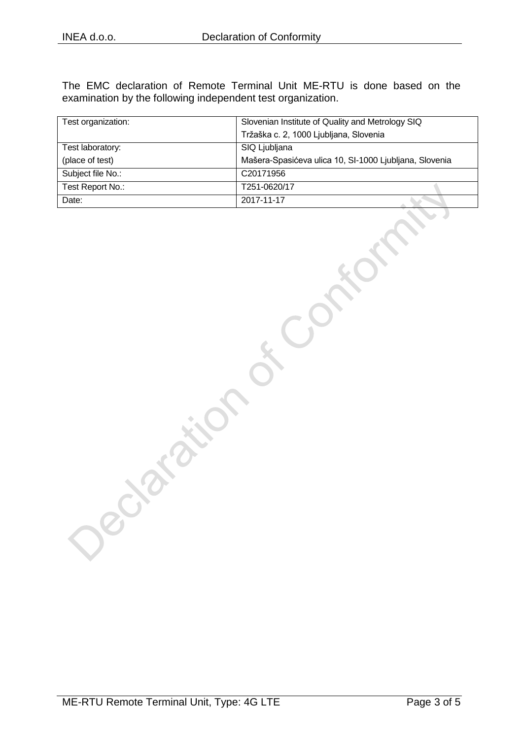The EMC declaration of Remote Terminal Unit ME-RTU is done based on the examination by the following independent test organization.

| Test organization: | Slovenian Institute of Quality and Metrology SIQ       |  |
|--------------------|--------------------------------------------------------|--|
|                    | Tržaška c. 2, 1000 Ljubljana, Slovenia                 |  |
| Test laboratory:   | SIQ Ljubljana                                          |  |
| (place of test)    | Mašera-Spasićeva ulica 10, SI-1000 Ljubljana, Slovenia |  |
| Subject file No.:  | C <sub>20171956</sub>                                  |  |
| Test Report No.:   | T251-0620/17                                           |  |
| Date:              | 2017-11-17                                             |  |

Decision is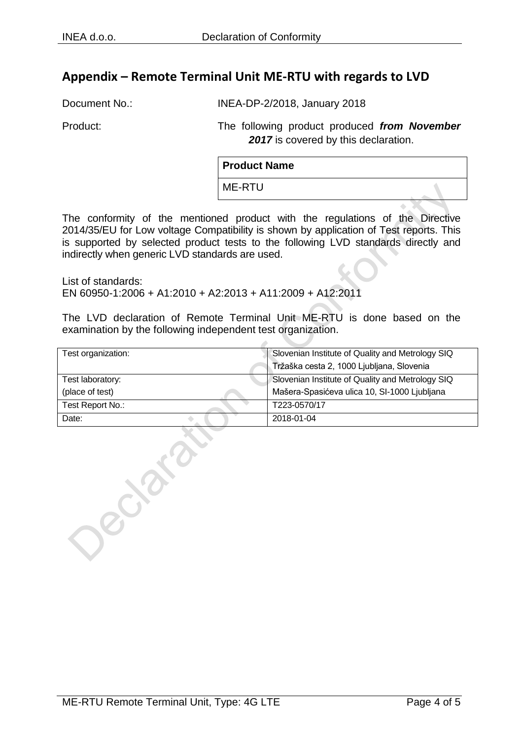#### **Appendix – Remote Terminal Unit ME-RTU with regards to LVD**

Document No.: INEA-DP-2/2018, January 2018

Product: The following product produced *from November*  2017 is covered by this declaration.

| <b>Product Name</b> |  |
|---------------------|--|
| ME-RTU              |  |

The conformity of the mentioned product with the regulations of the Directive 2014/35/EU for Low voltage Compatibility is shown by application of Test reports. This is supported by selected product tests to the following LVD standards directly and indirectly when generic LVD standards are used.

List of standards: EN 60950-1:2006 + A1:2010 + A2:2013 + A11:2009 + A12:2011

The LVD declaration of Remote Terminal Unit ME-RTU is done based on the examination by the following independent test organization.

| Test organization: | Slovenian Institute of Quality and Metrology SIQ |
|--------------------|--------------------------------------------------|
|                    | Tržaška cesta 2, 1000 Ljubljana, Slovenia        |
| Test laboratory:   | Slovenian Institute of Quality and Metrology SIQ |
| (place of test)    | Mašera-Spasićeva ulica 10, SI-1000 Ljubljana     |
| Test Report No.:   | T223-0570/17                                     |
| Date:              | 2018-01-04                                       |

elays